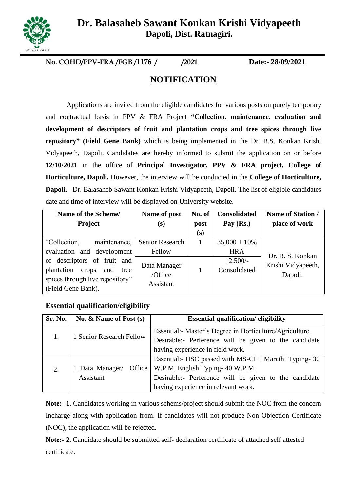

**Dr. Balasaheb Sawant Konkan Krishi Vidyapeeth Dapoli, Dist. Ratnagiri.**

**No. COHD/PPV-FRA /FGB /1176 / /2021 Date:- 28/09/2021**

# **NOTIFICATION**

Applications are invited from the eligible candidates for various posts on purely temporary and contractual basis in PPV & FRA Project **"Collection, maintenance, evaluation and development of descriptors of fruit and plantation crops and tree spices through live repository" (Field Gene Bank)** which is being implemented in the Dr. B.S. Konkan Krishi Vidyapeeth, Dapoli. Candidates are hereby informed to submit the application on or before **12/10/2021** in the office of **Principal Investigator, PPV & FRA project, College of Horticulture, Dapoli.** However, the interview will be conducted in the **College of Horticulture, Dapoli.** Dr. Balasaheb Sawant Konkan Krishi Vidyapeeth, Dapoli. The list of eligible candidates date and time of interview will be displayed on University website.

| Name of the Scheme/                | Name of post           | No. of | <b>Consolidated</b> | <b>Name of Station /</b> |
|------------------------------------|------------------------|--------|---------------------|--------------------------|
| <b>Project</b>                     | (s)                    | post   | Pay $(Rs.)$         | place of work            |
|                                    |                        | (s)    |                     |                          |
| "Collection,<br>maintenance,       | <b>Senior Research</b> |        | $35,000 + 10\%$     |                          |
| evaluation and development         | Fellow                 |        | <b>HRA</b>          | Dr. B. S. Konkan         |
| of descriptors of fruit and        | Data Manager           |        | $12,500/-$          | Krishi Vidyapeeth,       |
| plantation<br>and<br>crops<br>tree | /Office                |        | Consolidated        | Dapoli.                  |
| spices through live repository"    | Assistant              |        |                     |                          |
| (Field Gene Bank).                 |                        |        |                     |                          |

## **Essential qualification/eligibility**

| Sr. No. | No. & Name of Post (s)                 | <b>Essential qualification/eligibility</b>               |  |  |
|---------|----------------------------------------|----------------------------------------------------------|--|--|
|         |                                        | Essential:- Master's Degree in Horticulture/Agriculture. |  |  |
| 1.      | 1 Senior Research Fellow               | Desirable:- Perference will be given to the candidate    |  |  |
|         |                                        | having experience in field work.                         |  |  |
|         |                                        | Essential: HSC passed with MS-CIT, Marathi Typing-30     |  |  |
| 2.      | 1 Data Manager/<br>Office<br>Assistant | W.P.M, English Typing- 40 W.P.M.                         |  |  |
|         |                                        | Desirable:- Perference will be given to the candidate    |  |  |
|         |                                        | having experience in relevant work.                      |  |  |

Note:- 1. Candidates working in various schems/project should submit the NOC from the concern Incharge along with application from. If candidates will not produce Non Objection Certificate (NOC), the application will be rejected.

**Note:- 2.** Candidate should be submitted self- declaration certificate of attached self attested certificate.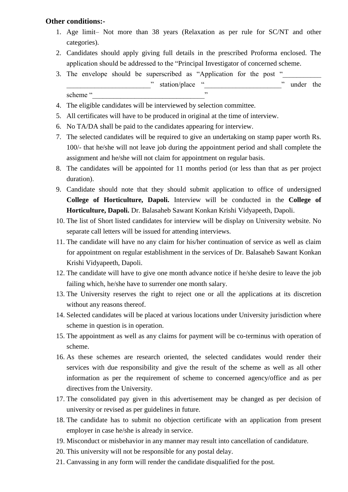#### **Other conditions:-**

- 1. Age limit– Not more than 38 years (Relaxation as per rule for SC/NT and other categories).
- 2. Candidates should apply giving full details in the prescribed Proforma enclosed. The application should be addressed to the "Principal Investigator of concerned scheme.
- 3. The envelope should be superscribed as "Application for the post " station/place " when we have not the " under the scheme "
- 4. The eligible candidates will be interviewed by selection committee.
- 5. All certificates will have to be produced in original at the time of interview.
- 6. No TA/DA shall be paid to the candidates appearing for interview.
- 7. The selected candidates will be required to give an undertaking on stamp paper worth Rs. 100/- that he/she will not leave job during the appointment period and shall complete the assignment and he/she will not claim for appointment on regular basis.
- 8. The candidates will be appointed for 11 months period (or less than that as per project duration).
- 9. Candidate should note that they should submit application to office of undersigned **College of Horticulture, Dapoli.** Interview will be conducted in the **College of Horticulture, Dapoli.** Dr. Balasaheb Sawant Konkan Krishi Vidyapeeth, Dapoli.
- 10. The list of Short listed candidates for interview will be display on University website. No separate call letters will be issued for attending interviews.
- 11. The candidate will have no any claim for his/her continuation of service as well as claim for appointment on regular establishment in the services of Dr. Balasaheb Sawant Konkan Krishi Vidyapeeth, Dapoli.
- 12. The candidate will have to give one month advance notice if he/she desire to leave the job failing which, he/she have to surrender one month salary.
- 13. The University reserves the right to reject one or all the applications at its discretion without any reasons thereof.
- 14. Selected candidates will be placed at various locations under University jurisdiction where scheme in question is in operation.
- 15. The appointment as well as any claims for payment will be co-terminus with operation of scheme.
- 16. As these schemes are research oriented, the selected candidates would render their services with due responsibility and give the result of the scheme as well as all other information as per the requirement of scheme to concerned agency/office and as per directives from the University.
- 17. The consolidated pay given in this advertisement may be changed as per decision of university or revised as per guidelines in future.
- 18. The candidate has to submit no objection certificate with an application from present employer in case he/she is already in service.
- 19. Misconduct or misbehavior in any manner may result into cancellation of candidature.
- 20. This university will not be responsible for any postal delay.
- 21. Canvassing in any form will render the candidate disqualified for the post.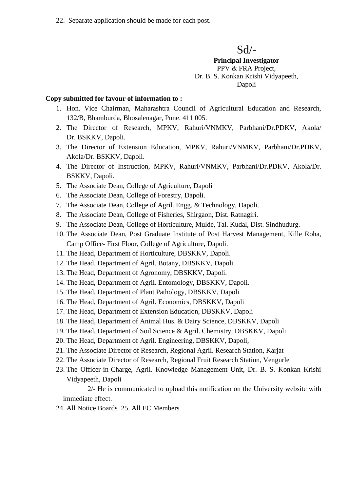22. Separate application should be made for each post.

Sd/-

**Principal Investigator** PPV & FRA Project, Dr. B. S. Konkan Krishi Vidyapeeth, Dapoli

#### **Copy submitted for favour of information to :**

- 1. Hon. Vice Chairman, Maharashtra Council of Agricultural Education and Research, 132/B, Bhamburda, Bhosalenagar, Pune. 411 005.
- 2. The Director of Research, MPKV, Rahuri/VNMKV, Parbhani/Dr.PDKV, Akola/ Dr. BSKKV, Dapoli.
- 3. The Director of Extension Education, MPKV, Rahuri/VNMKV, Parbhani/Dr.PDKV, Akola/Dr. BSKKV, Dapoli.
- 4. The Director of Instruction, MPKV, Rahuri/VNMKV, Parbhani/Dr.PDKV, Akola/Dr. BSKKV, Dapoli.
- 5. The Associate Dean, College of Agriculture, Dapoli
- 6. The Associate Dean, College of Forestry, Dapoli.
- 7. The Associate Dean, College of Agril. Engg. & Technology, Dapoli.
- 8. The Associate Dean, College of Fisheries, Shirgaon, Dist. Ratnagiri.
- 9. The Associate Dean, College of Horticulture, Mulde, Tal. Kudal, Dist. Sindhudurg.
- 10. The Associate Dean, Post Graduate Institute of Post Harvest Management, Kille Roha, Camp Office- First Floor, College of Agriculture, Dapoli.
- 11. The Head, Department of Horticulture, DBSKKV, Dapoli.
- 12. The Head, Department of Agril. Botany, DBSKKV, Dapoli.
- 13. The Head, Department of Agronomy, DBSKKV, Dapoli.
- 14. The Head, Department of Agril. Entomology, DBSKKV, Dapoli.
- 15. The Head, Department of Plant Pathology, DBSKKV, Dapoli
- 16. The Head, Department of Agril. Economics, DBSKKV, Dapoli
- 17. The Head, Department of Extension Education, DBSKKV, Dapoli
- 18. The Head, Department of Animal Hus. & Dairy Science, DBSKKV, Dapoli
- 19. The Head, Department of Soil Science & Agril. Chemistry, DBSKKV, Dapoli
- 20. The Head, Department of Agril. Engineering, DBSKKV, Dapoli,
- 21. The Associate Director of Research, Regional Agril. Research Station, Karjat
- 22. The Associate Director of Research, Regional Fruit Research Station, Vengurle
- 23. The Officer-in-Charge, Agril. Knowledge Management Unit, Dr. B. S. Konkan Krishi Vidyapeeth, Dapoli

2/- He is communicated to upload this notification on the University website with immediate effect.

24. All Notice Boards 25. All EC Members